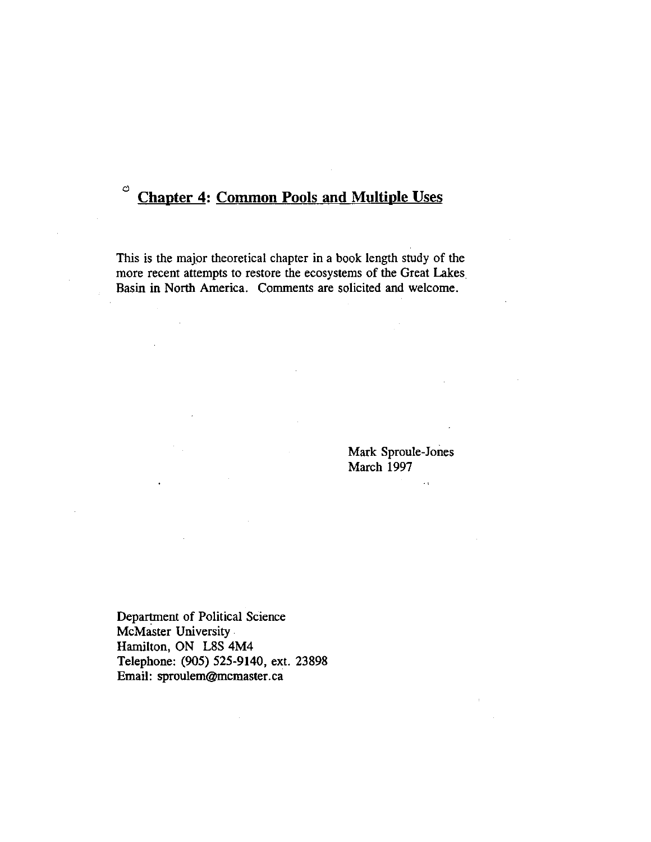#### $\circlearrowright$ **Chapter 4: Common Pools and Multiple Uses**

This is the major theoretical chapter in a book length study of the more recent attempts to restore the ecosystems of the Great Lakes Basin in North America. Comments are solicited and welcome.

> Mark Sproule-Jones March 1997

> > $\mathcal{F}^{\text{max}}_{\text{max}}$  , where

Department of Political Science McMaster University Hamilton, ON L8S 4M4 Telephone: (905) 525-9140, ext. 23898 Email: sproulem@mcmaster.ca

 $\sim 10^7$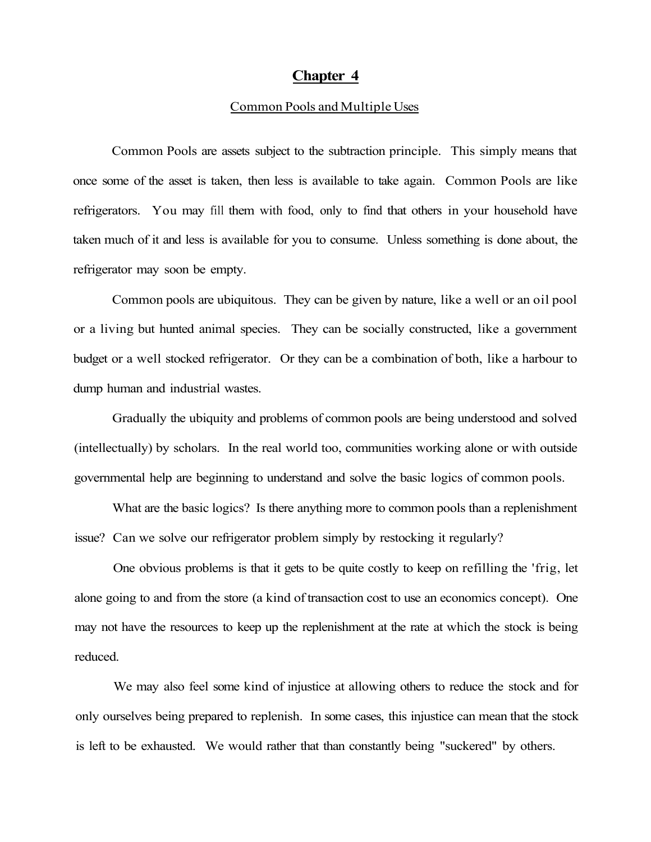## **Chapter 4**

### Common Pools and Multiple Uses

Common Pools are assets subject to the subtraction principle. This simply means that once some of the asset is taken, then less is available to take again. Common Pools are like refrigerators. You may fill them with food, only to find that others in your household have taken much of it and less is available for you to consume. Unless something is done about, the refrigerator may soon be empty.

Common pools are ubiquitous. They can be given by nature, like a well or an oil pool or a living but hunted animal species. They can be socially constructed, like a government budget or a well stocked refrigerator. Or they can be a combination of both, like a harbour to dump human and industrial wastes.

Gradually the ubiquity and problems of common pools are being understood and solved (intellectually) by scholars. In the real world too, communities working alone or with outside governmental help are beginning to understand and solve the basic logics of common pools.

What are the basic logics? Is there anything more to common pools than a replenishment issue? Can we solve our refrigerator problem simply by restocking it regularly?

One obvious problems is that it gets to be quite costly to keep on refilling the 'frig, let alone going to and from the store (a kind of transaction cost to use an economics concept). One may not have the resources to keep up the replenishment at the rate at which the stock is being reduced.

We may also feel some kind of injustice at allowing others to reduce the stock and for only ourselves being prepared to replenish. In some cases, this injustice can mean that the stock is left to be exhausted. We would rather that than constantly being "suckered" by others.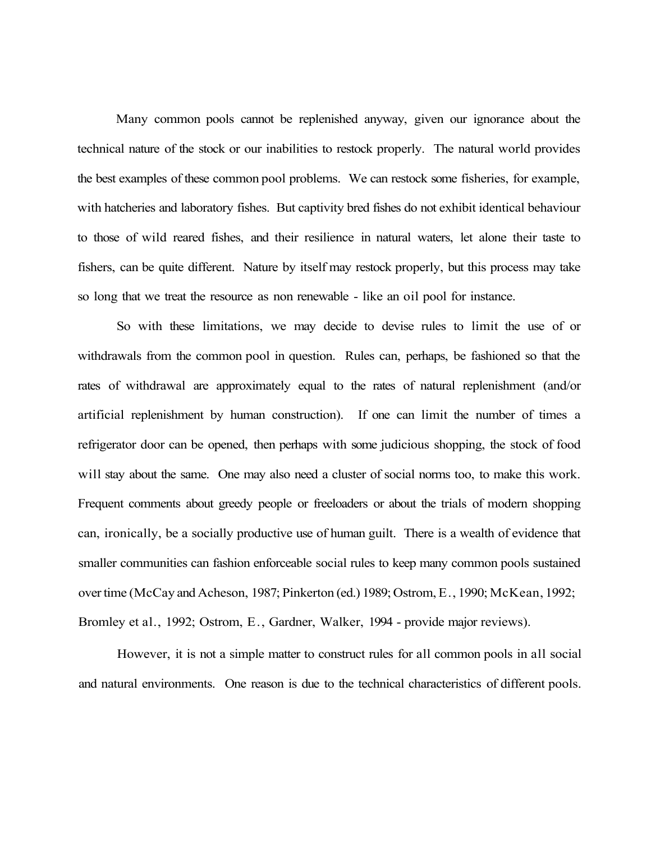Many common pools cannot be replenished anyway, given our ignorance about the technical nature of the stock or our inabilities to restock properly. The natural world provides the best examples of these common pool problems. We can restock some fisheries, for example, with hatcheries and laboratory fishes. But captivity bred fishes do not exhibit identical behaviour to those of wild reared fishes, and their resilience in natural waters, let alone their taste to fishers, can be quite different. Nature by itself may restock properly, but this process may take so long that we treat the resource as non renewable - like an oil pool for instance.

So with these limitations, we may decide to devise rules to limit the use of or withdrawals from the common pool in question. Rules can, perhaps, be fashioned so that the rates of withdrawal are approximately equal to the rates of natural replenishment (and/or artificial replenishment by human construction). If one can limit the number of times a refrigerator door can be opened, then perhaps with some judicious shopping, the stock of food will stay about the same. One may also need a cluster of social norms too, to make this work. Frequent comments about greedy people or freeloaders or about the trials of modern shopping can, ironically, be a socially productive use of human guilt. There is a wealth of evidence that smaller communities can fashion enforceable social rules to keep many common pools sustained over time (McCay and Acheson, 1987; Pinkerton (ed.) 1989; Ostrom, E., 1990; McKean, 1992; Bromley et al., 1992; Ostrom, E., Gardner, Walker, 1994 - provide major reviews).

However, it is not a simple matter to construct rules for all common pools in all social and natural environments. One reason is due to the technical characteristics of different pools.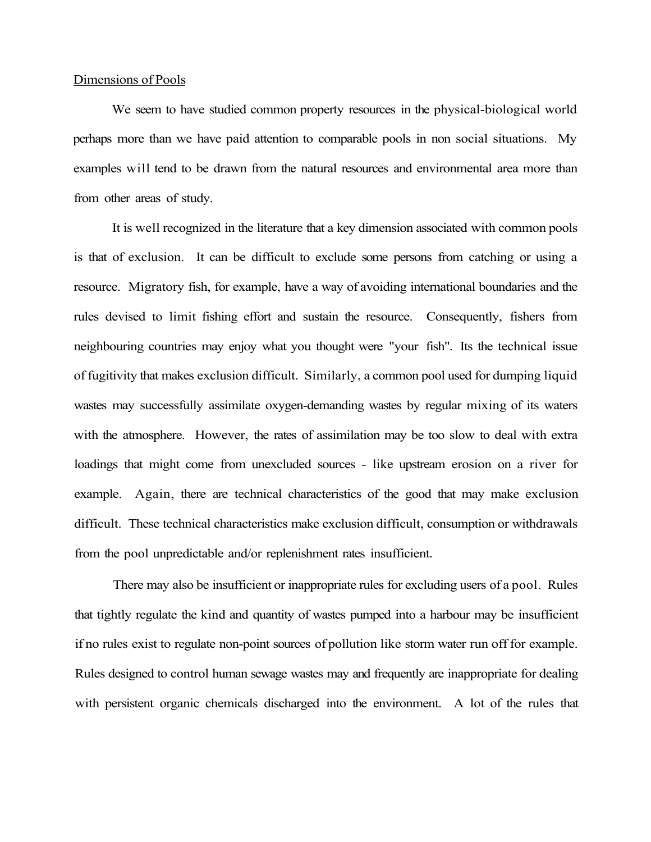## Dimensions of Pools

We seem to have studied common property resources in the physical-biological world perhaps more than we have paid attention to comparable pools in non social situations. My examples will tend to be drawn from the natural resources and environmental area more than from other areas of study.

It is well recognized in the literature that a key dimension associated with common pools is that of exclusion. It can be difficult to exclude some persons from catching or using a resource. Migratory fish, for example, have a way of avoiding international boundaries and the rules devised to limit fishing effort and sustain the resource. Consequently, fishers from neighbouring countries may enjoy what you thought were "your fish". Its the technical issue of fugitivity that makes exclusion difficult. Similarly, a common pool used for dumping liquid wastes may successfully assimilate oxygen-demanding wastes by regular mixing of its waters with the atmosphere. However, the rates of assimilation may be too slow to deal with extra loadings that might come from unexcluded sources - like upstream erosion on a river for example. Again, there are technical characteristics of the good that may make exclusion difficult. These technical characteristics make exclusion difficult, consumption or withdrawals from the pool unpredictable and/or replenishment rates insufficient.

There may also be insufficient or inappropriate rules for excluding users of a pool. Rules that tightly regulate the kind and quantity of wastes pumped into a harbour may be insufficient if no rules exist to regulate non-point sources of pollution like storm water run off for example. Rules designed to control human sewage wastes may and frequently are inappropriate for dealing with persistent organic chemicals discharged into the environment. A lot of the rules that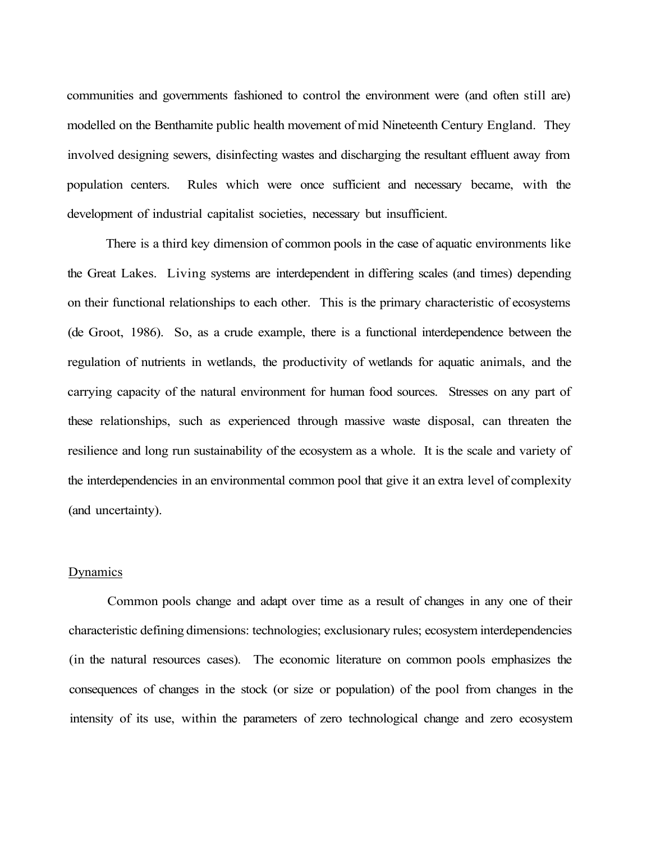communities and governments fashioned to control the environment were (and often still are) modelled on the Benthamite public health movement of mid Nineteenth Century England. They involved designing sewers, disinfecting wastes and discharging the resultant effluent away from population centers. Rules which were once sufficient and necessary became, with the development of industrial capitalist societies, necessary but insufficient.

There is a third key dimension of common pools in the case of aquatic environments like the Great Lakes. Living systems are interdependent in differing scales (and times) depending on their functional relationships to each other. This is the primary characteristic of ecosystems (de Groot, 1986). So, as a crude example, there is a functional interdependence between the regulation of nutrients in wetlands, the productivity of wetlands for aquatic animals, and the carrying capacity of the natural environment for human food sources. Stresses on any part of these relationships, such as experienced through massive waste disposal, can threaten the resilience and long run sustainability of the ecosystem as a whole. It is the scale and variety of the interdependencies in an environmental common pool that give it an extra level of complexity (and uncertainty).

## Dynamics

Common pools change and adapt over time as a result of changes in any one of their characteristic defining dimensions: technologies; exclusionary rules; ecosystem interdependencies (in the natural resources cases). The economic literature on common pools emphasizes the consequences of changes in the stock (or size or population) of the pool from changes in the intensity of its use, within the parameters of zero technological change and zero ecosystem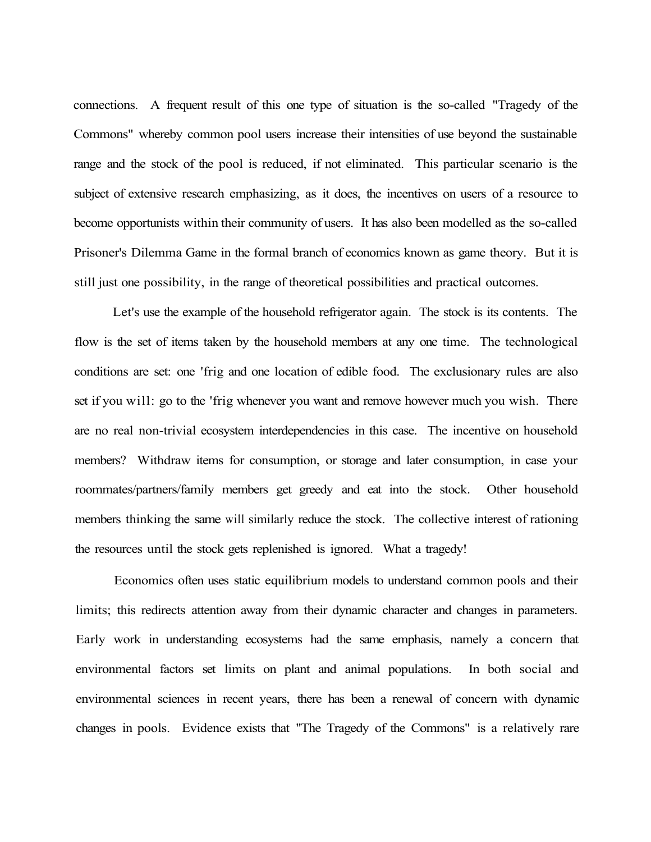connections. A frequent result of this one type of situation is the so-called "Tragedy of the Commons" whereby common pool users increase their intensities of use beyond the sustainable range and the stock of the pool is reduced, if not eliminated. This particular scenario is the subject of extensive research emphasizing, as it does, the incentives on users of a resource to become opportunists within their community of users. It has also been modelled as the so-called Prisoner's Dilemma Game in the formal branch of economics known as game theory. But it is still just one possibility, in the range of theoretical possibilities and practical outcomes.

Let's use the example of the household refrigerator again. The stock is its contents. The flow is the set of items taken by the household members at any one time. The technological conditions are set: one 'frig and one location of edible food. The exclusionary rules are also set if you will: go to the 'frig whenever you want and remove however much you wish. There are no real non-trivial ecosystem interdependencies in this case. The incentive on household members? Withdraw items for consumption, or storage and later consumption, in case your roommates/partners/family members get greedy and eat into the stock. Other household members thinking the same will similarly reduce the stock. The collective interest of rationing the resources until the stock gets replenished is ignored. What a tragedy!

Economics often uses static equilibrium models to understand common pools and their limits; this redirects attention away from their dynamic character and changes in parameters. Early work in understanding ecosystems had the same emphasis, namely a concern that environmental factors set limits on plant and animal populations. In both social and environmental sciences in recent years, there has been a renewal of concern with dynamic changes in pools. Evidence exists that "The Tragedy of the Commons" is a relatively rare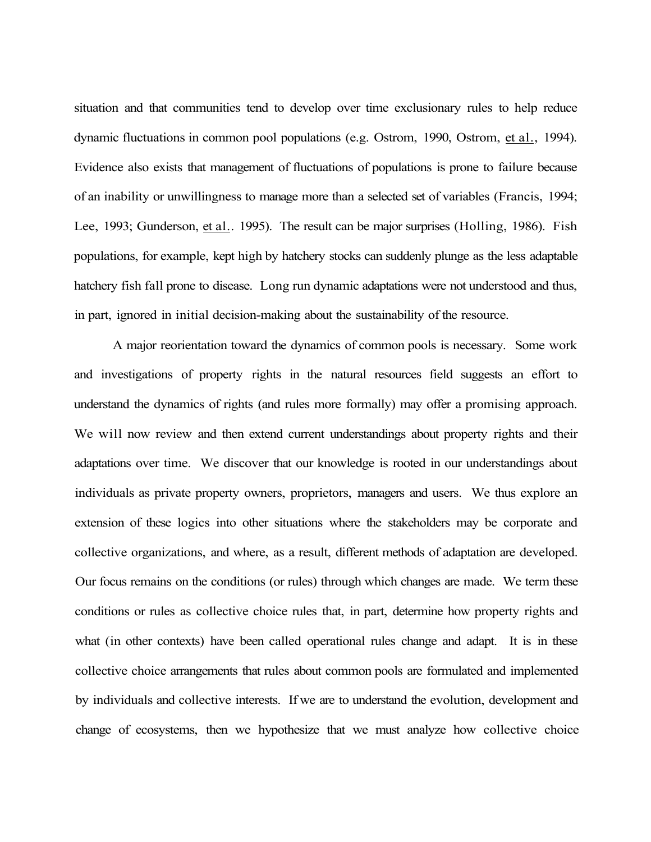situation and that communities tend to develop over time exclusionary rules to help reduce dynamic fluctuations in common pool populations (e.g. Ostrom, 1990, Ostrom, et al., 1994). Evidence also exists that management of fluctuations of populations is prone to failure because of an inability or unwillingness to manage more than a selected set of variables (Francis, 1994; Lee, 1993; Gunderson, et al.. 1995). The result can be major surprises (Holling, 1986). Fish populations, for example, kept high by hatchery stocks can suddenly plunge as the less adaptable hatchery fish fall prone to disease. Long run dynamic adaptations were not understood and thus, in part, ignored in initial decision-making about the sustainability of the resource.

A major reorientation toward the dynamics of common pools is necessary. Some work and investigations of property rights in the natural resources field suggests an effort to understand the dynamics of rights (and rules more formally) may offer a promising approach. We will now review and then extend current understandings about property rights and their adaptations over time. We discover that our knowledge is rooted in our understandings about individuals as private property owners, proprietors, managers and users. We thus explore an extension of these logics into other situations where the stakeholders may be corporate and collective organizations, and where, as a result, different methods of adaptation are developed. Our focus remains on the conditions (or rules) through which changes are made. We term these conditions or rules as collective choice rules that, in part, determine how property rights and what (in other contexts) have been called operational rules change and adapt. It is in these collective choice arrangements that rules about common pools are formulated and implemented by individuals and collective interests. If we are to understand the evolution, development and change of ecosystems, then we hypothesize that we must analyze how collective choice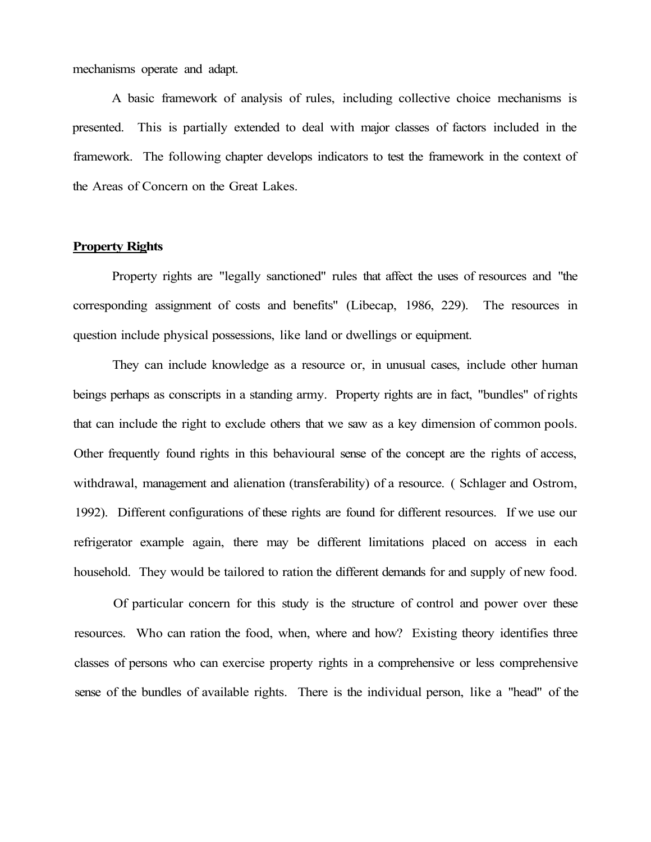mechanisms operate and adapt.

A basic framework of analysis of rules, including collective choice mechanisms is presented. This is partially extended to deal with major classes of factors included in the framework. The following chapter develops indicators to test the framework in the context of the Areas of Concern on the Great Lakes.

## **Property Rights**

Property rights are "legally sanctioned" rules that affect the uses of resources and "the corresponding assignment of costs and benefits" (Libecap, 1986, 229). The resources in question include physical possessions, like land or dwellings or equipment.

They can include knowledge as a resource or, in unusual cases, include other human beings perhaps as conscripts in a standing army. Property rights are in fact, "bundles" of rights that can include the right to exclude others that we saw as a key dimension of common pools. Other frequently found rights in this behavioural sense of the concept are the rights of access, withdrawal, management and alienation (transferability) of a resource. ( Schlager and Ostrom, 1992). Different configurations of these rights are found for different resources. If we use our refrigerator example again, there may be different limitations placed on access in each household. They would be tailored to ration the different demands for and supply of new food.

Of particular concern for this study is the structure of control and power over these resources. Who can ration the food, when, where and how? Existing theory identifies three classes of persons who can exercise property rights in a comprehensive or less comprehensive sense of the bundles of available rights. There is the individual person, like a "head" of the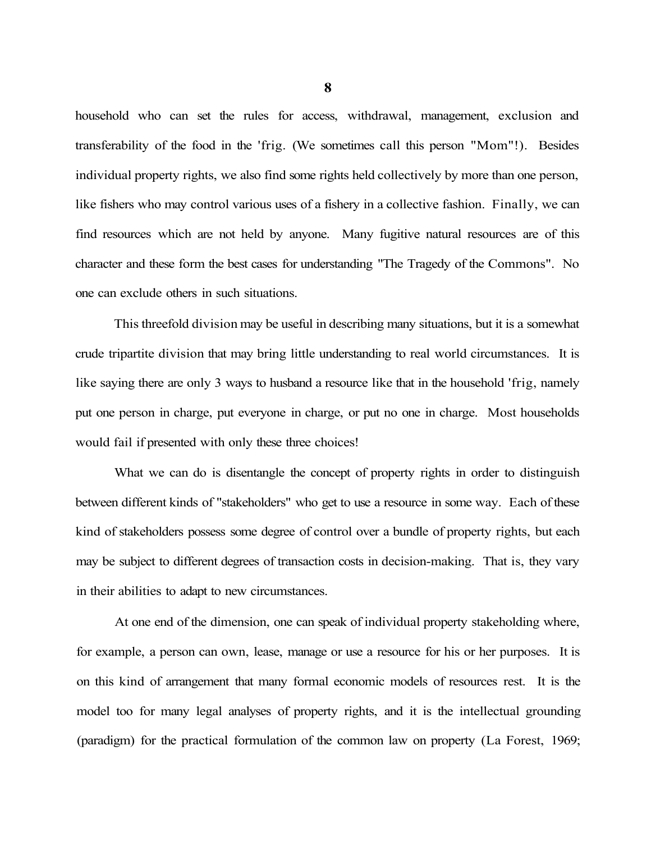household who can set the rules for access, withdrawal, management, exclusion and transferability of the food in the 'frig. (We sometimes call this person "Mom"!). Besides individual property rights, we also find some rights held collectively by more than one person, like fishers who may control various uses of a fishery in a collective fashion. Finally, we can find resources which are not held by anyone. Many fugitive natural resources are of this character and these form the best cases for understanding "The Tragedy of the Commons". No one can exclude others in such situations.

This threefold division may be useful in describing many situations, but it is a somewhat crude tripartite division that may bring little understanding to real world circumstances. It is like saying there are only 3 ways to husband a resource like that in the household 'frig, namely put one person in charge, put everyone in charge, or put no one in charge. Most households would fail if presented with only these three choices!

What we can do is disentangle the concept of property rights in order to distinguish between different kinds of "stakeholders" who get to use a resource in some way. Each of these kind of stakeholders possess some degree of control over a bundle of property rights, but each may be subject to different degrees of transaction costs in decision-making. That is, they vary in their abilities to adapt to new circumstances.

At one end of the dimension, one can speak of individual property stakeholding where, for example, a person can own, lease, manage or use a resource for his or her purposes. It is on this kind of arrangement that many formal economic models of resources rest. It is the model too for many legal analyses of property rights, and it is the intellectual grounding (paradigm) for the practical formulation of the common law on property (La Forest, 1969;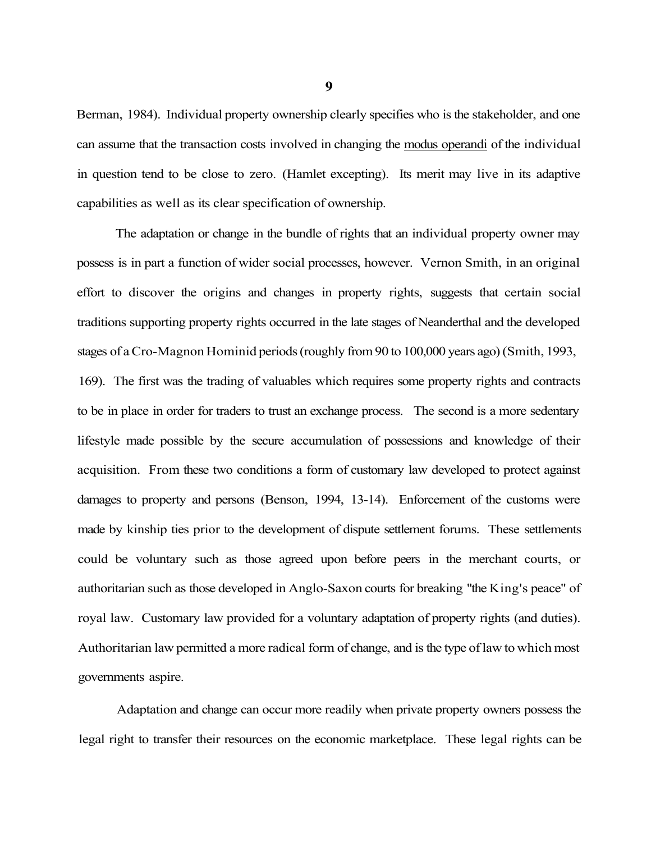Berman, 1984). Individual property ownership clearly specifies who is the stakeholder, and one can assume that the transaction costs involved in changing the modus operandi of the individual in question tend to be close to zero. (Hamlet excepting). Its merit may live in its adaptive capabilities as well as its clear specification of ownership.

The adaptation or change in the bundle of rights that an individual property owner may possess is in part a function of wider social processes, however. Vernon Smith, in an original effort to discover the origins and changes in property rights, suggests that certain social traditions supporting property rights occurred in the late stages of Neanderthal and the developed stages of a Cro-Magnon Hominid periods (roughly from 90 to 100,000 years ago) (Smith, 1993, 169). The first was the trading of valuables which requires some property rights and contracts to be in place in order for traders to trust an exchange process. The second is a more sedentary lifestyle made possible by the secure accumulation of possessions and knowledge of their acquisition. From these two conditions a form of customary law developed to protect against damages to property and persons (Benson, 1994, 13-14). Enforcement of the customs were made by kinship ties prior to the development of dispute settlement forums. These settlements could be voluntary such as those agreed upon before peers in the merchant courts, or authoritarian such as those developed in Anglo-Saxon courts for breaking "the King's peace" of royal law. Customary law provided for a voluntary adaptation of property rights (and duties). Authoritarian law permitted a more radical form of change, and is the type of law to which most governments aspire.

Adaptation and change can occur more readily when private property owners possess the legal right to transfer their resources on the economic marketplace. These legal rights can be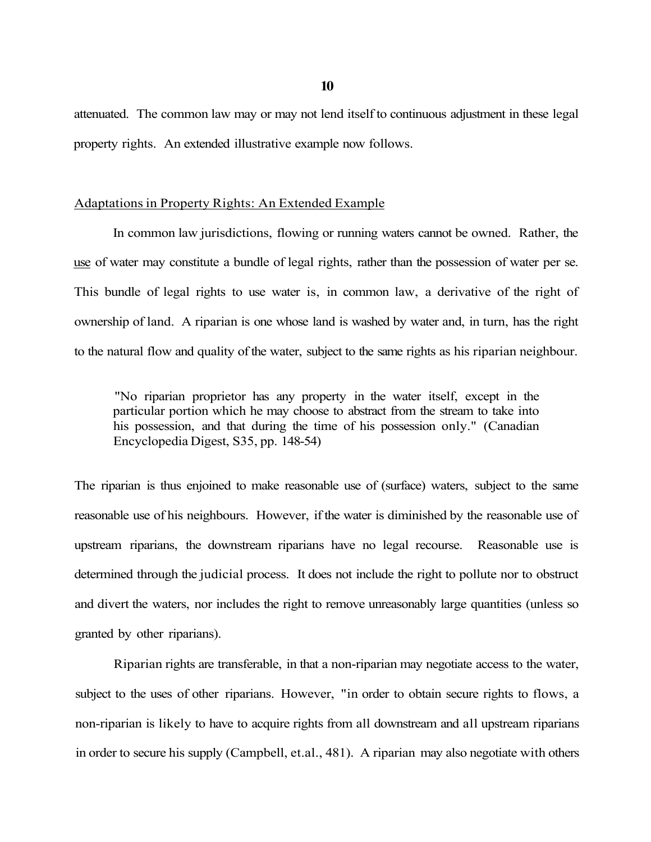attenuated. The common law may or may not lend itself to continuous adjustment in these legal property rights. An extended illustrative example now follows.

## Adaptations in Property Rights: An Extended Example

In common law jurisdictions, flowing or running waters cannot be owned. Rather, the use of water may constitute a bundle of legal rights, rather than the possession of water per se. This bundle of legal rights to use water is, in common law, a derivative of the right of ownership of land. A riparian is one whose land is washed by water and, in turn, has the right to the natural flow and quality of the water, subject to the same rights as his riparian neighbour.

"No riparian proprietor has any property in the water itself, except in the particular portion which he may choose to abstract from the stream to take into his possession, and that during the time of his possession only." (Canadian Encyclopedia Digest, S35, pp. 148-54)

The riparian is thus enjoined to make reasonable use of (surface) waters, subject to the same reasonable use of his neighbours. However, if the water is diminished by the reasonable use of upstream riparians, the downstream riparians have no legal recourse. Reasonable use is determined through the judicial process. It does not include the right to pollute nor to obstruct and divert the waters, nor includes the right to remove unreasonably large quantities (unless so granted by other riparians).

Riparian rights are transferable, in that a non-riparian may negotiate access to the water, subject to the uses of other riparians. However, "in order to obtain secure rights to flows, a non-riparian is likely to have to acquire rights from all downstream and all upstream riparians in order to secure his supply (Campbell, et.al., 481). A riparian may also negotiate with others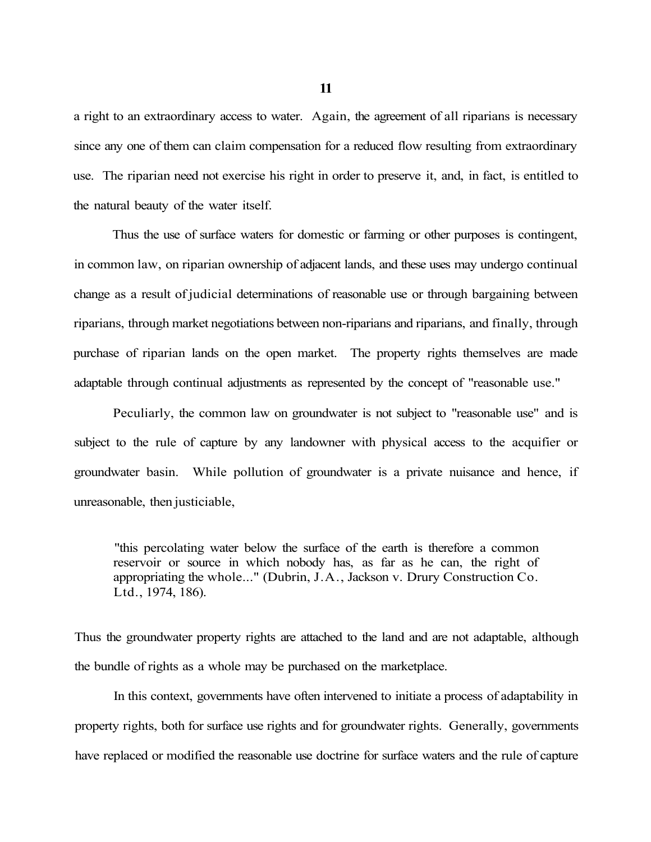a right to an extraordinary access to water. Again, the agreement of all riparians is necessary since any one of them can claim compensation for a reduced flow resulting from extraordinary use. The riparian need not exercise his right in order to preserve it, and, in fact, is entitled to the natural beauty of the water itself.

Thus the use of surface waters for domestic or farming or other purposes is contingent, in common law, on riparian ownership of adjacent lands, and these uses may undergo continual change as a result of judicial determinations of reasonable use or through bargaining between riparians, through market negotiations between non-riparians and riparians, and finally, through purchase of riparian lands on the open market. The property rights themselves are made adaptable through continual adjustments as represented by the concept of "reasonable use."

Peculiarly, the common law on groundwater is not subject to "reasonable use" and is subject to the rule of capture by any landowner with physical access to the acquifier or groundwater basin. While pollution of groundwater is a private nuisance and hence, if unreasonable, then justiciable,

"this percolating water below the surface of the earth is therefore a common reservoir or source in which nobody has, as far as he can, the right of appropriating the whole..." (Dubrin, J.A., Jackson v. Drury Construction Co. Ltd., 1974, 186).

Thus the groundwater property rights are attached to the land and are not adaptable, although the bundle of rights as a whole may be purchased on the marketplace.

In this context, governments have often intervened to initiate a process of adaptability in property rights, both for surface use rights and for groundwater rights. Generally, governments have replaced or modified the reasonable use doctrine for surface waters and the rule of capture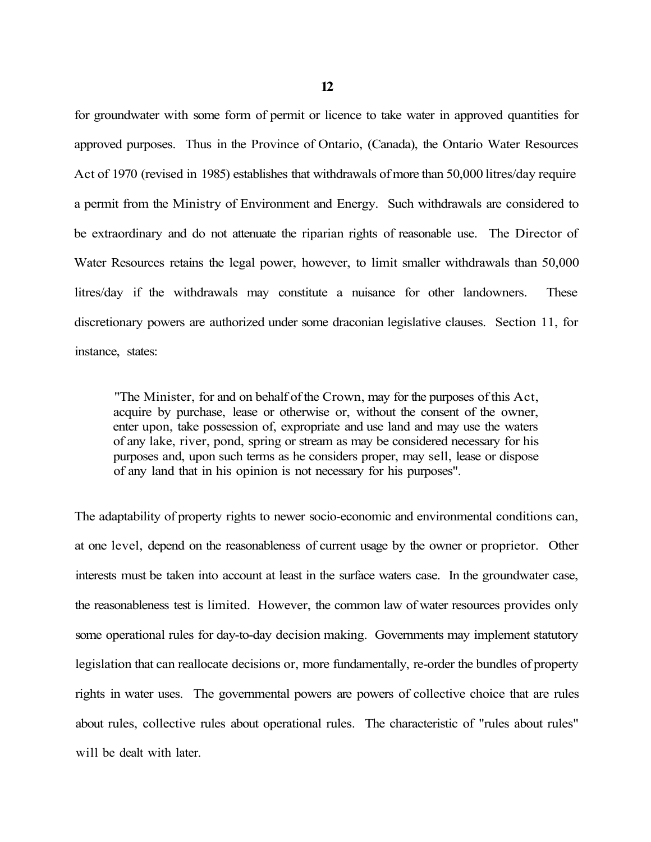for groundwater with some form of permit or licence to take water in approved quantities for approved purposes. Thus in the Province of Ontario, (Canada), the Ontario Water Resources Act of 1970 (revised in 1985) establishes that withdrawals of more than 50,000 litres/day require a permit from the Ministry of Environment and Energy. Such withdrawals are considered to be extraordinary and do not attenuate the riparian rights of reasonable use. The Director of Water Resources retains the legal power, however, to limit smaller withdrawals than 50,000 litres/day if the withdrawals may constitute a nuisance for other landowners. These discretionary powers are authorized under some draconian legislative clauses. Section 11, for instance, states:

"The Minister, for and on behalf of the Crown, may for the purposes of this Act, acquire by purchase, lease or otherwise or, without the consent of the owner, enter upon, take possession of, expropriate and use land and may use the waters of any lake, river, pond, spring or stream as may be considered necessary for his purposes and, upon such terms as he considers proper, may sell, lease or dispose of any land that in his opinion is not necessary for his purposes".

The adaptability of property rights to newer socio-economic and environmental conditions can, at one level, depend on the reasonableness of current usage by the owner or proprietor. Other interests must be taken into account at least in the surface waters case. In the groundwater case, the reasonableness test is limited. However, the common law of water resources provides only some operational rules for day-to-day decision making. Governments may implement statutory legislation that can reallocate decisions or, more fundamentally, re-order the bundles of property rights in water uses. The governmental powers are powers of collective choice that are rules about rules, collective rules about operational rules. The characteristic of "rules about rules" will be dealt with later.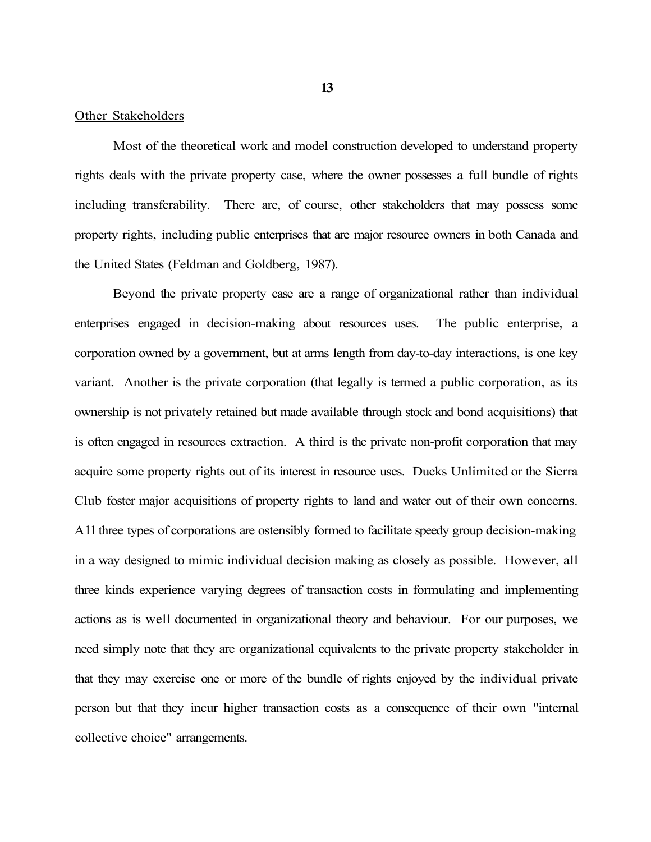#### Other Stakeholders

Most of the theoretical work and model construction developed to understand property rights deals with the private property case, where the owner possesses a full bundle of rights including transferability. There are, of course, other stakeholders that may possess some property rights, including public enterprises that are major resource owners in both Canada and the United States (Feldman and Goldberg, 1987).

Beyond the private property case are a range of organizational rather than individual enterprises engaged in decision-making about resources uses. The public enterprise, a corporation owned by a government, but at arms length from day-to-day interactions, is one key variant. Another is the private corporation (that legally is termed a public corporation, as its ownership is not privately retained but made available through stock and bond acquisitions) that is often engaged in resources extraction. A third is the private non-profit corporation that may acquire some property rights out of its interest in resource uses. Ducks Unlimited or the Sierra Club foster major acquisitions of property rights to land and water out of their own concerns. All three types of corporations are ostensibly formed to facilitate speedy group decision-making in a way designed to mimic individual decision making as closely as possible. However, all three kinds experience varying degrees of transaction costs in formulating and implementing actions as is well documented in organizational theory and behaviour. For our purposes, we need simply note that they are organizational equivalents to the private property stakeholder in that they may exercise one or more of the bundle of rights enjoyed by the individual private person but that they incur higher transaction costs as a consequence of their own "internal collective choice" arrangements.

**13**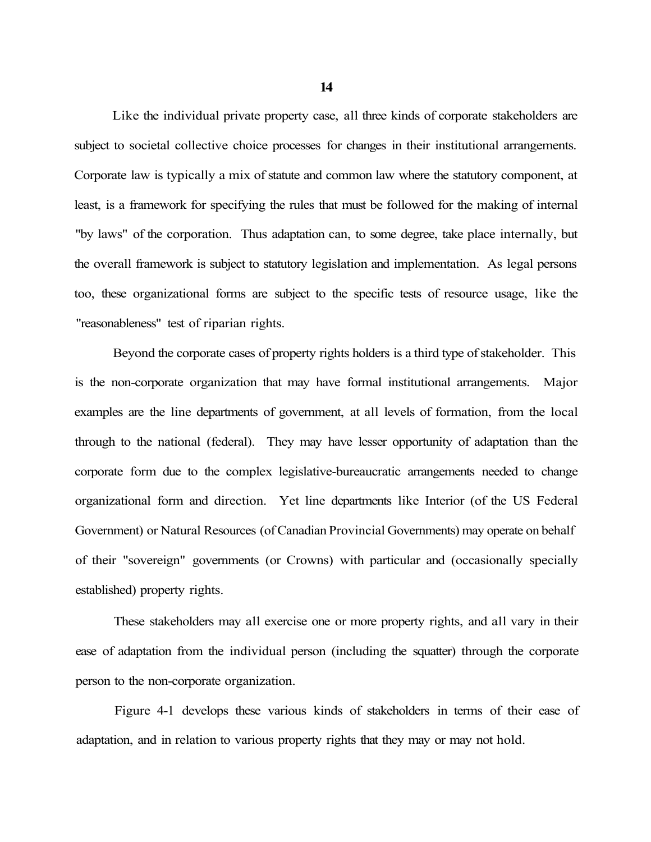Like the individual private property case, all three kinds of corporate stakeholders are subject to societal collective choice processes for changes in their institutional arrangements. Corporate law is typically a mix of statute and common law where the statutory component, at least, is a framework for specifying the rules that must be followed for the making of internal "by laws" of the corporation. Thus adaptation can, to some degree, take place internally, but the overall framework is subject to statutory legislation and implementation. As legal persons too, these organizational forms are subject to the specific tests of resource usage, like the "reasonableness" test of riparian rights.

Beyond the corporate cases of property rights holders is a third type of stakeholder. This is the non-corporate organization that may have formal institutional arrangements. Major examples are the line departments of government, at all levels of formation, from the local through to the national (federal). They may have lesser opportunity of adaptation than the corporate form due to the complex legislative-bureaucratic arrangements needed to change organizational form and direction. Yet line departments like Interior (of the US Federal Government) or Natural Resources (of Canadian Provincial Governments) may operate on behalf of their "sovereign" governments (or Crowns) with particular and (occasionally specially established) property rights.

These stakeholders may all exercise one or more property rights, and all vary in their ease of adaptation from the individual person (including the squatter) through the corporate person to the non-corporate organization.

Figure 4-1 develops these various kinds of stakeholders in terms of their ease of adaptation, and in relation to various property rights that they may or may not hold.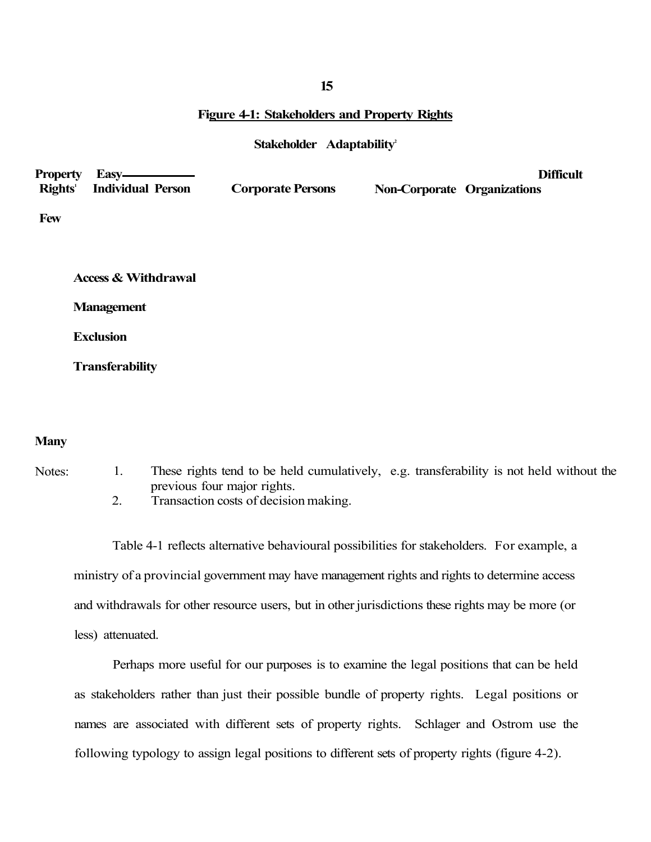## **15**

### **Figure 4-1: Stakeholders and Property Rights**

## **Stakeholder Adaptability<sup>2</sup>**

| <b>Property</b><br><b>Rights'</b> | Easy-<br><b>Individual Person</b> | <b>Corporate Persons</b> | <b>Non-Corporate Organizations</b> | <b>Difficult</b> |
|-----------------------------------|-----------------------------------|--------------------------|------------------------------------|------------------|
| Few                               |                                   |                          |                                    |                  |
|                                   | <b>Access &amp; Withdrawal</b>    |                          |                                    |                  |
|                                   | <b>Management</b>                 |                          |                                    |                  |
|                                   | <b>Exclusion</b>                  |                          |                                    |                  |
|                                   | <b>Transferability</b>            |                          |                                    |                  |

## **Many**

Notes: 1. These rights tend to be held cumulatively, e.g. transferability is not held without the previous four major rights.

2. Transaction costs of decision making.

Table 4-1 reflects alternative behavioural possibilities for stakeholders. For example, a ministry of a provincial government may have management rights and rights to determine access and withdrawals for other resource users, but in other jurisdictions these rights may be more (or less) attenuated.

Perhaps more useful for our purposes is to examine the legal positions that can be held as stakeholders rather than just their possible bundle of property rights. Legal positions or names are associated with different sets of property rights. Schlager and Ostrom use the following typology to assign legal positions to different sets of property rights (figure 4-2).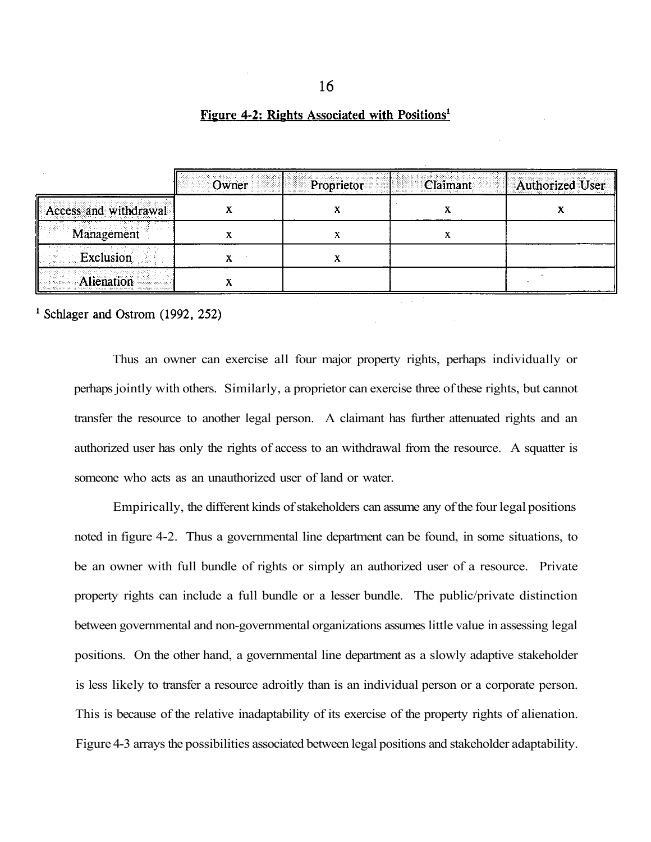## Figure 4-2: Rights Associated with Positions<sup>1</sup>

|                                              | Owner | Proprietor | Claimant | Authorized User |
|----------------------------------------------|-------|------------|----------|-----------------|
| Access and withdrawal                        |       |            |          |                 |
| Management                                   |       |            |          |                 |
| <b>Exclusion</b>                             |       |            |          |                 |
| Alienation<br>지수는 아이들은 아이들의 사람들은 아직 사람들이 있다. |       |            |          |                 |

<sup>1</sup> Schlager and Ostrom  $(1992, 252)$ 

Thus an owner can exercise all four major property rights, perhaps individually or perhaps jointly with others. Similarly, a proprietor can exercise three of these rights, but cannot transfer the resource to another legal person. A claimant has further attenuated rights and an authorized user has only the rights of access to an withdrawal from the resource. A squatter is someone who acts as an unauthorized user of land or water.

Empirically, the different kinds of stakeholders can assume any of the four legal positions noted in figure 4-2. Thus a governmental line department can be found, in some situations, to be an owner with full bundle of rights or simply an authorized user of a resource. Private property rights can include a full bundle or a lesser bundle. The public/private distinction between governmental and non-governmental organizations assumes little value in assessing legal positions. On the other hand, a governmental line department as a slowly adaptive stakeholder is less likely to transfer a resource adroitly than is an individual person or a corporate person. This is because of the relative inadaptability of its exercise of the property rights of alienation. Figure 4-3 arrays the possibilities associated between legal positions and stakeholder adaptability.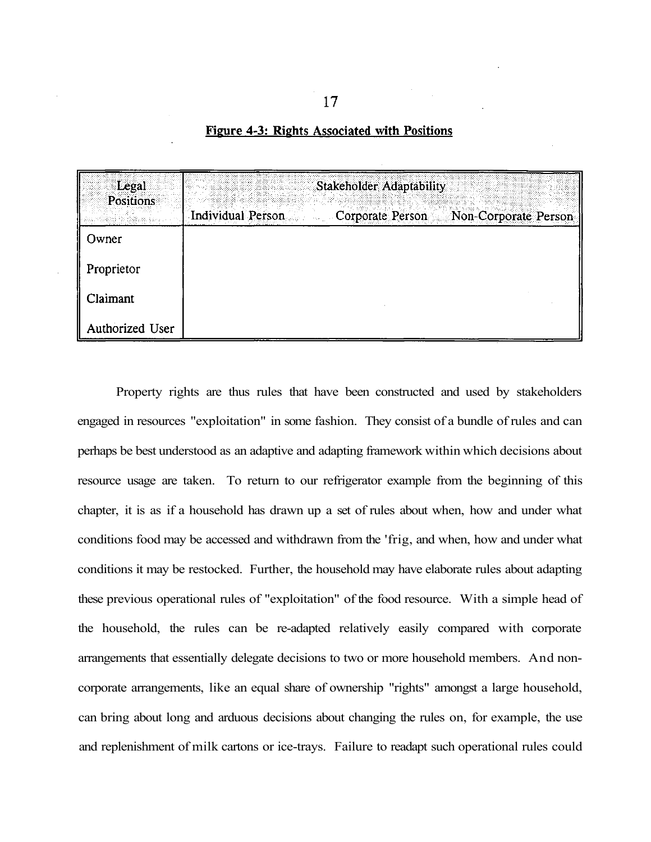## Figure 4-3: Rights Associated with Positions

| Legal           | Stakeholder Adaptability                                      |
|-----------------|---------------------------------------------------------------|
| Positions       | Individual Person<br>Corporate Person<br>Non-Corporate Person |
| Owner           |                                                               |
| Proprietor      |                                                               |
| Claimant        |                                                               |
| Authorized User |                                                               |

Property rights are thus rules that have been constructed and used by stakeholders engaged in resources "exploitation" in some fashion. They consist of a bundle of rules and can perhaps be best understood as an adaptive and adapting framework within which decisions about resource usage are taken. To return to our refrigerator example from the beginning of this chapter, it is as if a household has drawn up a set of rules about when, how and under what conditions food may be accessed and withdrawn from the 'frig, and when, how and under what conditions it may be restocked. Further, the household may have elaborate rules about adapting these previous operational rules of "exploitation" of the food resource. With a simple head of the household, the rules can be re-adapted relatively easily compared with corporate arrangements that essentially delegate decisions to two or more household members. And noncorporate arrangements, like an equal share of ownership "rights" amongst a large household, can bring about long and arduous decisions about changing the rules on, for example, the use and replenishment of milk cartons or ice-trays. Failure to readapt such operational rules could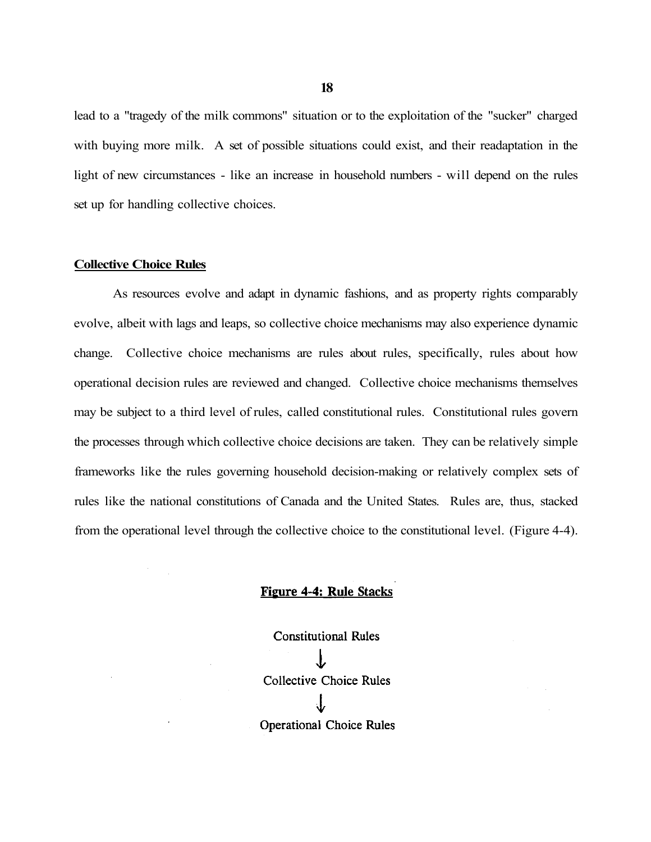lead to a "tragedy of the milk commons" situation or to the exploitation of the "sucker" charged with buying more milk. A set of possible situations could exist, and their readaptation in the light of new circumstances - like an increase in household numbers - will depend on the rules set up for handling collective choices.

### **Collective Choice Rules**

As resources evolve and adapt in dynamic fashions, and as property rights comparably evolve, albeit with lags and leaps, so collective choice mechanisms may also experience dynamic change. Collective choice mechanisms are rules about rules, specifically, rules about how operational decision rules are reviewed and changed. Collective choice mechanisms themselves may be subject to a third level of rules, called constitutional rules. Constitutional rules govern the processes through which collective choice decisions are taken. They can be relatively simple frameworks like the rules governing household decision-making or relatively complex sets of rules like the national constitutions of Canada and the United States. Rules are, thus, stacked from the operational level through the collective choice to the constitutional level. (Figure 4-4).

## **Figure 4-4: Rule Stacks**

**Constitutional Rules Collective Choice Rules Operational Choice Rules**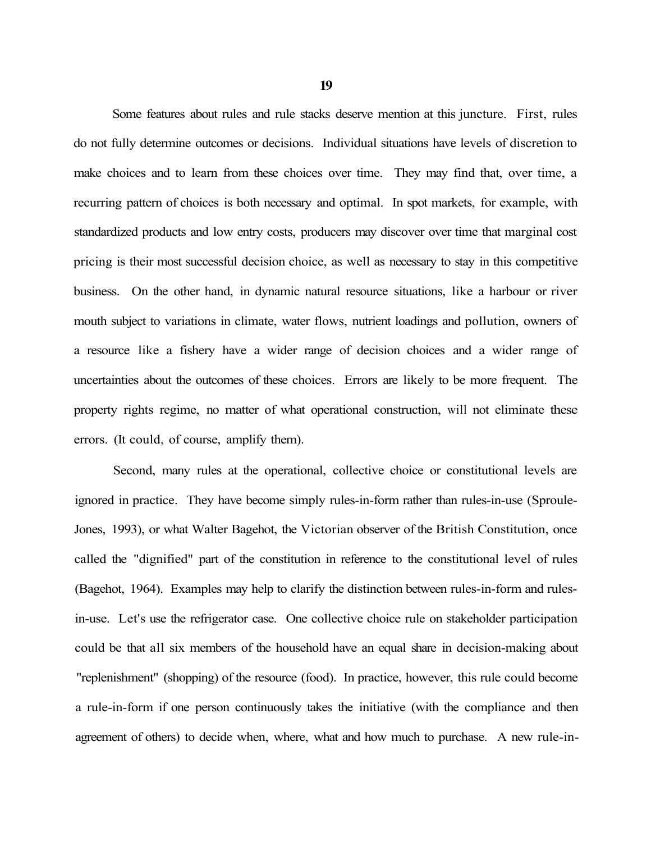Some features about rules and rule stacks deserve mention at this juncture. First, rules do not fully determine outcomes or decisions. Individual situations have levels of discretion to make choices and to learn from these choices over time. They may find that, over time, a recurring pattern of choices is both necessary and optimal. In spot markets, for example, with standardized products and low entry costs, producers may discover over time that marginal cost pricing is their most successful decision choice, as well as necessary to stay in this competitive business. On the other hand, in dynamic natural resource situations, like a harbour or river mouth subject to variations in climate, water flows, nutrient loadings and pollution, owners of a resource like a fishery have a wider range of decision choices and a wider range of uncertainties about the outcomes of these choices. Errors are likely to be more frequent. The property rights regime, no matter of what operational construction, will not eliminate these errors. (It could, of course, amplify them).

Second, many rules at the operational, collective choice or constitutional levels are ignored in practice. They have become simply rules-in-form rather than rules-in-use (Sproule-Jones, 1993), or what Walter Bagehot, the Victorian observer of the British Constitution, once called the "dignified" part of the constitution in reference to the constitutional level of rules (Bagehot, 1964). Examples may help to clarify the distinction between rules-in-form and rulesin-use. Let's use the refrigerator case. One collective choice rule on stakeholder participation could be that all six members of the household have an equal share in decision-making about "replenishment" (shopping) of the resource (food). In practice, however, this rule could become a rule-in-form if one person continuously takes the initiative (with the compliance and then agreement of others) to decide when, where, what and how much to purchase. A new rule-in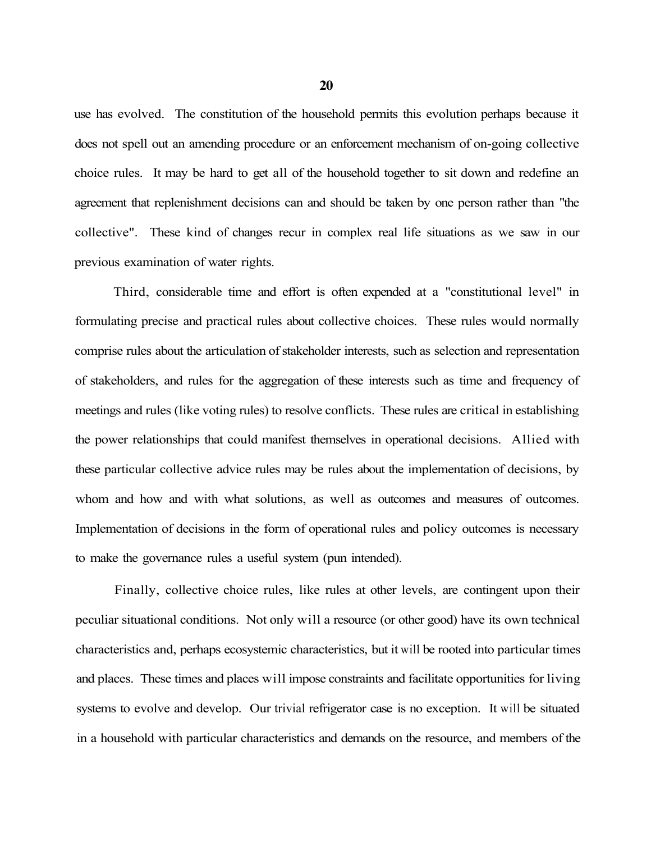use has evolved. The constitution of the household permits this evolution perhaps because it does not spell out an amending procedure or an enforcement mechanism of on-going collective choice rules. It may be hard to get all of the household together to sit down and redefine an agreement that replenishment decisions can and should be taken by one person rather than "the collective". These kind of changes recur in complex real life situations as we saw in our previous examination of water rights.

Third, considerable time and effort is often expended at a "constitutional level" in formulating precise and practical rules about collective choices. These rules would normally comprise rules about the articulation of stakeholder interests, such as selection and representation of stakeholders, and rules for the aggregation of these interests such as time and frequency of meetings and rules (like voting rules) to resolve conflicts. These rules are critical in establishing the power relationships that could manifest themselves in operational decisions. Allied with these particular collective advice rules may be rules about the implementation of decisions, by whom and how and with what solutions, as well as outcomes and measures of outcomes. Implementation of decisions in the form of operational rules and policy outcomes is necessary to make the governance rules a useful system (pun intended).

Finally, collective choice rules, like rules at other levels, are contingent upon their peculiar situational conditions. Not only will a resource (or other good) have its own technical characteristics and, perhaps ecosystemic characteristics, but it will be rooted into particular times and places. These times and places will impose constraints and facilitate opportunities for living systems to evolve and develop. Our trivial refrigerator case is no exception. It will be situated in a household with particular characteristics and demands on the resource, and members of the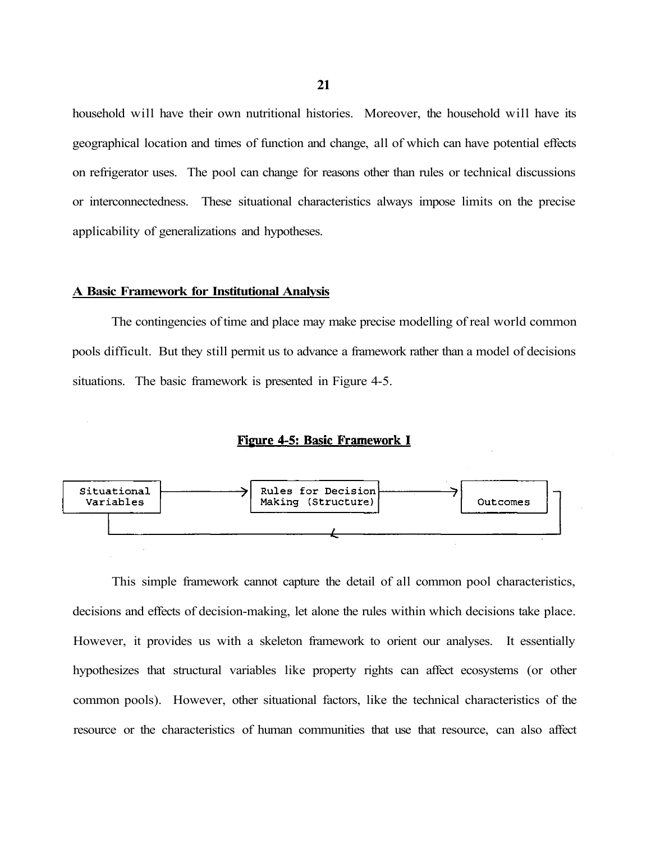household will have their own nutritional histories. Moreover, the household will have its geographical location and times of function and change, all of which can have potential effects on refrigerator uses. The pool can change for reasons other than rules or technical discussions or interconnectedness. These situational characteristics always impose limits on the precise applicability of generalizations and hypotheses.

## **A Basic Framework for Institutional Analysis**

The contingencies of time and place may make precise modelling of real world common pools difficult. But they still permit us to advance a framework rather than a model of decisions situations. The basic framework is presented in Figure 4-5.

## Figure 4-5: Basic Framework I



This simple framework cannot capture the detail of all common pool characteristics, decisions and effects of decision-making, let alone the rules within which decisions take place. However, it provides us with a skeleton framework to orient our analyses. It essentially hypothesizes that structural variables like property rights can affect ecosystems (or other common pools). However, other situational factors, like the technical characteristics of the resource or the characteristics of human communities that use that resource, can also affect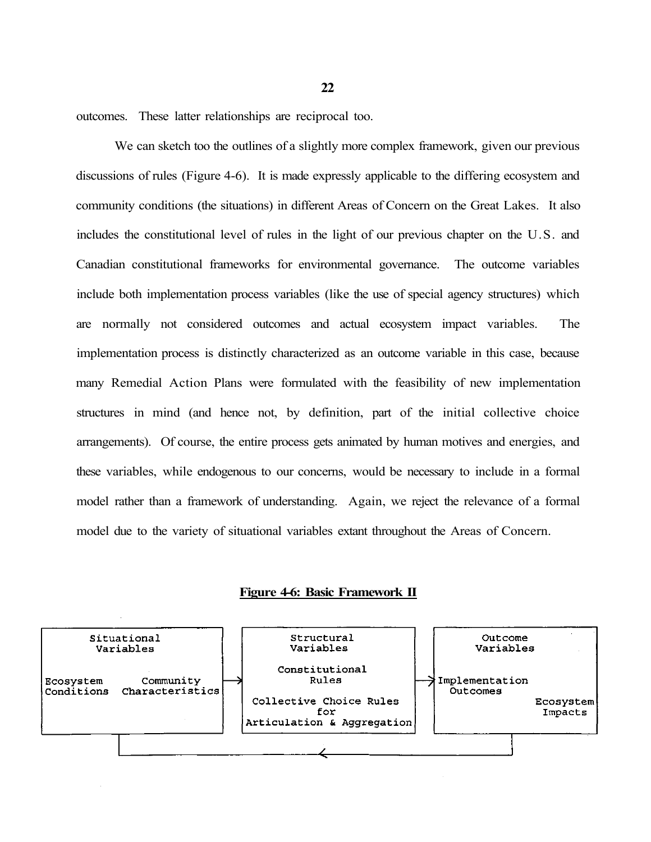outcomes. These latter relationships are reciprocal too.

We can sketch too the outlines of a slightly more complex framework, given our previous discussions of rules (Figure 4-6). It is made expressly applicable to the differing ecosystem and community conditions (the situations) in different Areas of Concern on the Great Lakes. It also includes the constitutional level of rules in the light of our previous chapter on the U.S. and Canadian constitutional frameworks for environmental governance. The outcome variables include both implementation process variables (like the use of special agency structures) which are normally not considered outcomes and actual ecosystem impact variables. The implementation process is distinctly characterized as an outcome variable in this case, because many Remedial Action Plans were formulated with the feasibility of new implementation structures in mind (and hence not, by definition, part of the initial collective choice arrangements). Of course, the entire process gets animated by human motives and energies, and these variables, while endogenous to our concerns, would be necessary to include in a formal model rather than a framework of understanding. Again, we reject the relevance of a formal model due to the variety of situational variables extant throughout the Areas of Concern.

#### **Figure 4-6: Basic Framework II**

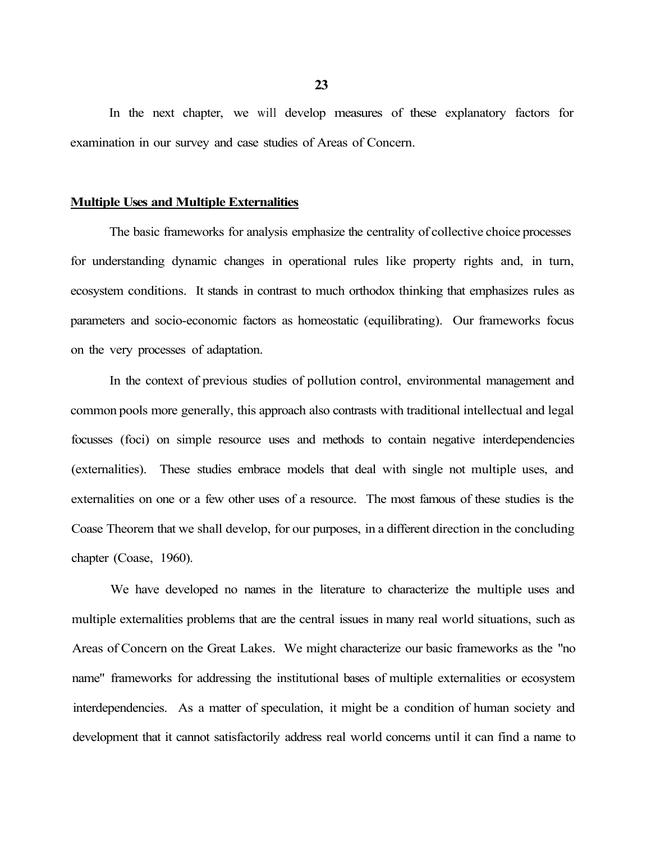In the next chapter, we will develop measures of these explanatory factors for examination in our survey and case studies of Areas of Concern.

#### **Multiple Uses and Multiple Externalities**

The basic frameworks for analysis emphasize the centrality of collective choice processes for understanding dynamic changes in operational rules like property rights and, in turn, ecosystem conditions. It stands in contrast to much orthodox thinking that emphasizes rules as parameters and socio-economic factors as homeostatic (equilibrating). Our frameworks focus on the very processes of adaptation.

In the context of previous studies of pollution control, environmental management and common pools more generally, this approach also contrasts with traditional intellectual and legal focusses (foci) on simple resource uses and methods to contain negative interdependencies (externalities). These studies embrace models that deal with single not multiple uses, and externalities on one or a few other uses of a resource. The most famous of these studies is the Coase Theorem that we shall develop, for our purposes, in a different direction in the concluding chapter (Coase, 1960).

We have developed no names in the literature to characterize the multiple uses and multiple externalities problems that are the central issues in many real world situations, such as Areas of Concern on the Great Lakes. We might characterize our basic frameworks as the "no name" frameworks for addressing the institutional bases of multiple externalities or ecosystem interdependencies. As a matter of speculation, it might be a condition of human society and development that it cannot satisfactorily address real world concerns until it can find a name to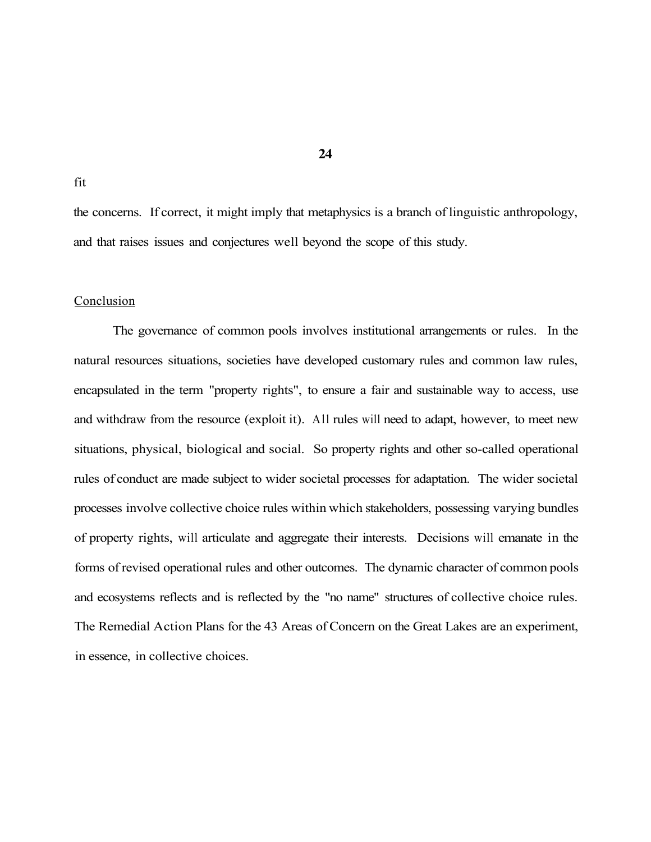the concerns. If correct, it might imply that metaphysics is a branch of linguistic anthropology, and that raises issues and conjectures well beyond the scope of this study.

### Conclusion

The governance of common pools involves institutional arrangements or rules. In the natural resources situations, societies have developed customary rules and common law rules, encapsulated in the term "property rights", to ensure a fair and sustainable way to access, use and withdraw from the resource (exploit it). All rules will need to adapt, however, to meet new situations, physical, biological and social. So property rights and other so-called operational rules of conduct are made subject to wider societal processes for adaptation. The wider societal processes involve collective choice rules within which stakeholders, possessing varying bundles of property rights, will articulate and aggregate their interests. Decisions will emanate in the forms of revised operational rules and other outcomes. The dynamic character of common pools and ecosystems reflects and is reflected by the "no name" structures of collective choice rules. The Remedial Action Plans for the 43 Areas of Concern on the Great Lakes are an experiment, in essence, in collective choices.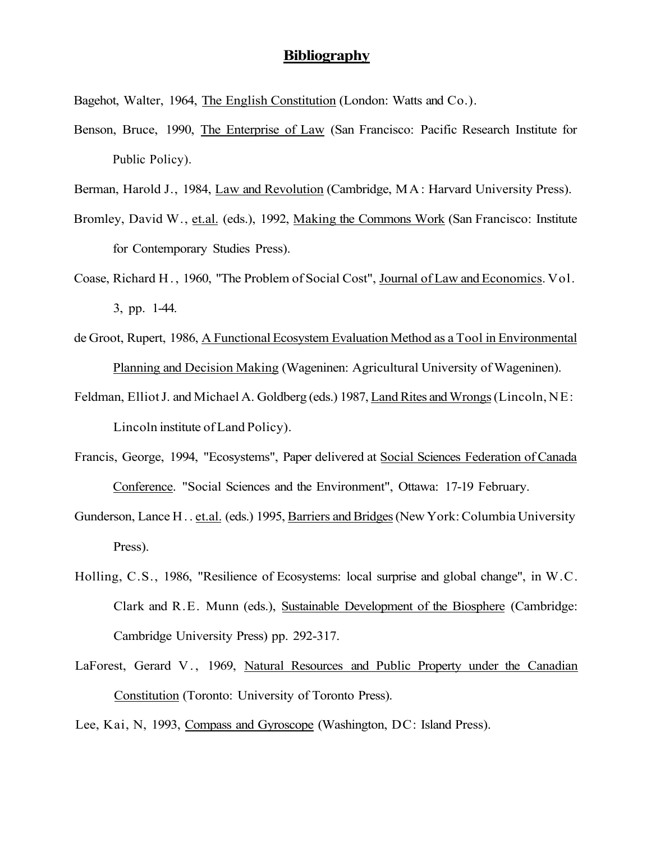# **Bibliography**

- Bagehot, Walter, 1964, The English Constitution (London: Watts and Co.).
- Benson, Bruce, 1990, The Enterprise of Law (San Francisco: Pacific Research Institute for Public Policy).
- Berman, Harold J., 1984, Law and Revolution (Cambridge, MA: Harvard University Press).
- Bromley, David W., et.al. (eds.), 1992, Making the Commons Work (San Francisco: Institute for Contemporary Studies Press).
- Coase, Richard H. , 1960, "The Problem of Social Cost", Journal of Law and Economics. Vol. 3, pp. 1-44.
- de Groot, Rupert, 1986, A Functional Ecosystem Evaluation Method as a Tool in Environmental Planning and Decision Making (Wageninen: Agricultural University of Wageninen).
- Feldman, Elliot J. and Michael A. Goldberg (eds.) 1987, Land Rites and Wrongs (Lincoln, NE: Lincoln institute of Land Policy).
- Francis, George, 1994, "Ecosystems", Paper delivered at Social Sciences Federation of Canada Conference. "Social Sciences and the Environment", Ottawa: 17-19 February.
- Gunderson, Lance H. . et.al. (eds.) 1995, Barriers and Bridges (New York: Columbia University Press).
- Holling, C.S., 1986, "Resilience of Ecosystems: local surprise and global change", in W.C. Clark and R.E. Munn (eds.), Sustainable Development of the Biosphere (Cambridge: Cambridge University Press) pp. 292-317.
- LaForest, Gerard V., 1969, Natural Resources and Public Property under the Canadian Constitution (Toronto: University of Toronto Press).

Lee, Kai, N, 1993, Compass and Gyroscope (Washington, DC: Island Press).